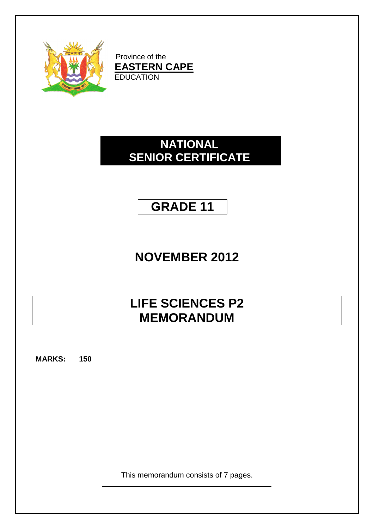

Province of the **EASTERN CAPE** EDUCATION

### **NATIONAL SENIOR CERTIFICATE**

## **GRADE 11**

# **NOVEMBER 2012**

## **LIFE SCIENCES P2 MEMORANDUM**

**MARKS: 150**

This memorandum consists of 7 pages.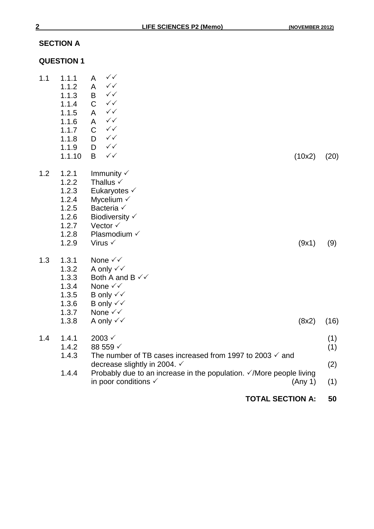### **SECTION A**

#### **QUESTION 1**

|     |                |                                                                                                                | <b>TOTAL SECTION A:</b> | 50   |
|-----|----------------|----------------------------------------------------------------------------------------------------------------|-------------------------|------|
|     | 1.4.4          | Probably due to an increase in the population. $\sqrt{}$ More people living<br>in poor conditions $\checkmark$ | (Any 1)                 | (1)  |
|     |                | The number of TB cases increased from 1997 to 2003 $\checkmark$ and<br>decrease slightly in 2004. ✓            |                         | (2)  |
|     | 1.4.2<br>1.4.3 | 88 559 √                                                                                                       |                         | (1)  |
| 1.4 | 1.4.1          | $2003 \checkmark$                                                                                              |                         | (1)  |
|     | 1.3.8          | A only $\checkmark\checkmark$                                                                                  | (8x2)                   | (16) |
|     | 1.3.7          | None $\checkmark\checkmark$                                                                                    |                         |      |
|     | 1.3.5<br>1.3.6 | B only $\checkmark\checkmark$<br>B only $\checkmark\checkmark$                                                 |                         |      |
|     | 1.3.4          | None $\checkmark\checkmark$                                                                                    |                         |      |
|     | 1.3.3          | Both A and B $\checkmark\checkmark$                                                                            |                         |      |
|     | 1.3.2          | A only $\checkmark\checkmark$                                                                                  |                         |      |
| 1.3 | 1.3.1          | None √√                                                                                                        |                         |      |
|     | 1.2.9          | Virus $\checkmark$                                                                                             | (9x1)                   | (9)  |
|     | 1.2.7<br>1.2.8 | Vector √<br>Plasmodium V                                                                                       |                         |      |
|     | 1.2.6          | Biodiversity √                                                                                                 |                         |      |
|     | 1.2.5          | Bacteria √                                                                                                     |                         |      |
|     | 1.2.4          | Eukaryotes $\checkmark$<br>Mycelium $\checkmark$                                                               |                         |      |
|     | 1.2.2<br>1.2.3 | Thallus $\checkmark$                                                                                           |                         |      |
| 1.2 | 1.2.1          | Immunity $\checkmark$                                                                                          |                         |      |
|     | 1.1.10         | B<br>$\checkmark$                                                                                              | (10x2)                  | (20) |
|     | 1.1.8<br>1.1.9 | $\checkmark$<br>D<br>$\checkmark$<br>D                                                                         |                         |      |
|     | 1.1.7          | $\checkmark$<br>$\mathsf C$                                                                                    |                         |      |
|     | 1.1.6          | $\checkmark\checkmark$<br>A                                                                                    |                         |      |
|     | 1.1.4<br>1.1.5 | $\checkmark$<br>A                                                                                              |                         |      |
|     | 1.1.3          | $\checkmark$<br>B<br>$\mathsf C$<br>$\checkmark$                                                               |                         |      |
|     | 1.1.2          | $\checkmark$<br>A                                                                                              |                         |      |
| 1.1 | 1.1.1          | $\checkmark$<br>A                                                                                              |                         |      |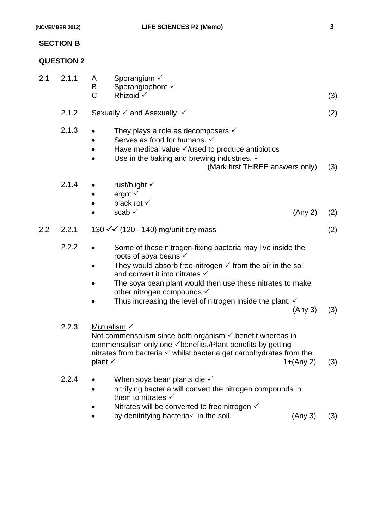#### **SECTION B**

#### **QUESTION 2**

| 2.1 | 2.1.1 | A<br>B<br>C                                                                                                                                                                                                                                                               | Sporangium $\checkmark$<br>Sporangiophore √<br>Rhizoid $\checkmark$                                                                                                                                                                                                                                                                                                                                |         | (3) |
|-----|-------|---------------------------------------------------------------------------------------------------------------------------------------------------------------------------------------------------------------------------------------------------------------------------|----------------------------------------------------------------------------------------------------------------------------------------------------------------------------------------------------------------------------------------------------------------------------------------------------------------------------------------------------------------------------------------------------|---------|-----|
|     | 2.1.2 |                                                                                                                                                                                                                                                                           | Sexually $\checkmark$ and Asexually $\checkmark$                                                                                                                                                                                                                                                                                                                                                   |         | (2) |
|     | 2.1.3 |                                                                                                                                                                                                                                                                           | They plays a role as decomposers $\checkmark$<br>Serves as food for humans. $\checkmark$<br>Have medical value $\sqrt{}$ /used to produce antibiotics<br>Use in the baking and brewing industries. $\checkmark$<br>(Mark first THREE answers only)                                                                                                                                                 |         | (3) |
|     | 2.1.4 |                                                                                                                                                                                                                                                                           | rust/blight $\checkmark$<br>ergot $\checkmark$<br>black rot √<br>scab $\checkmark$                                                                                                                                                                                                                                                                                                                 | (Any 2) | (2) |
| 2.2 | 2.2.1 |                                                                                                                                                                                                                                                                           | 130 <del>√ ∕</del> (120 - 140) mg/unit dry mass                                                                                                                                                                                                                                                                                                                                                    |         | (2) |
|     | 2.2.2 |                                                                                                                                                                                                                                                                           | Some of these nitrogen-fixing bacteria may live inside the<br>roots of soya beans $\checkmark$<br>They would absorb free-nitrogen $\checkmark$ from the air in the soil<br>and convert it into nitrates $\checkmark$<br>The soya bean plant would then use these nitrates to make<br>other nitrogen compounds $\checkmark$<br>Thus increasing the level of nitrogen inside the plant. $\checkmark$ | (Any 3) | (3) |
|     | 2.2.3 | Mutualism V<br>Not commensalism since both organism $\checkmark$ benefit whereas in<br>commensalism only one $\checkmark$ benefits./Plant benefits by getting<br>nitrates from bacteria $\checkmark$ whilst bacteria get carbohydrates from the<br>plant √<br>$1+(Any 2)$ |                                                                                                                                                                                                                                                                                                                                                                                                    |         | (3) |
|     | 2.2.4 |                                                                                                                                                                                                                                                                           | When soya bean plants die $\checkmark$<br>nitrifying bacteria will convert the nitrogen compounds in<br>them to nitrates $\checkmark$<br>Nitrates will be converted to free nitrogen $\checkmark$<br>by denitrifying bacteria $\checkmark$ in the soil.                                                                                                                                            | (Any 3) | (3) |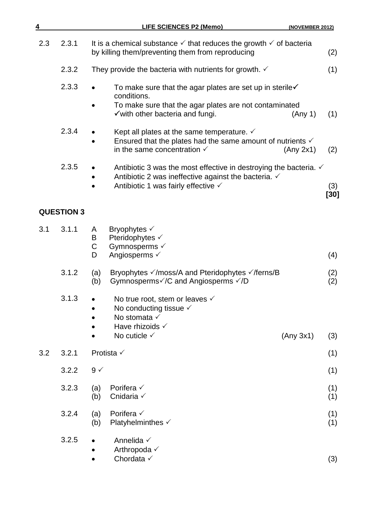| 4   |                   | <b>LIFE SCIENCES P2 (Memo)</b><br>(NOVEMBER 2012)                                                                                                                                            |               |
|-----|-------------------|----------------------------------------------------------------------------------------------------------------------------------------------------------------------------------------------|---------------|
| 2.3 | 2.3.1             | It is a chemical substance $\checkmark$ that reduces the growth $\checkmark$ of bacteria<br>by killing them/preventing them from reproducing                                                 | (2)           |
|     | 2.3.2             | They provide the bacteria with nutrients for growth. $\checkmark$                                                                                                                            | (1)           |
|     | 2.3.3             | To make sure that the agar plates are set up in sterile $\checkmark$<br>conditions.<br>To make sure that the agar plates are not contaminated<br>✓ with other bacteria and fungi.<br>(Any 1) | (1)           |
|     | 2.3.4             | Kept all plates at the same temperature. $\checkmark$<br>Ensured that the plates had the same amount of nutrients $\checkmark$<br>in the same concentration $\checkmark$<br>(Any 2x1)        | (2)           |
|     | 2.3.5             | Antibiotic 3 was the most effective in destroying the bacteria. $\checkmark$<br>Antibiotic 2 was ineffective against the bacteria. $\checkmark$<br>Antibiotic 1 was fairly effective √       | (3)<br>$[30]$ |
|     | <b>QUESTION 3</b> |                                                                                                                                                                                              |               |
| 3.1 | 3.1.1             | Bryophytes $\checkmark$<br>A<br>Pteridophytes √<br>B<br>$\mathsf C$<br>Gymnosperms √<br>Angiosperms $\checkmark$<br>D                                                                        | (4)           |
|     | 3.1.2             | Bryophytes √/moss/A and Pteridophytes √/ferns/B<br>(a)<br>Gymnosperms√/C and Angiosperms √/D<br>(b)                                                                                          | (2)<br>(2)    |
|     | 3.1.3             | No true root, stem or leaves $\checkmark$<br>No conducting tissue $\checkmark$<br>No stomata $\checkmark$<br>Have rhizoids $\checkmark$<br>No cuticle $\checkmark$<br>(Any 3x1)              | (3)           |
| 3.2 | 3.2.1             | Protista √                                                                                                                                                                                   | (1)           |
|     | 3.2.2             | $9 \checkmark$                                                                                                                                                                               | (1)           |
|     | 3.2.3             | Porifera $\checkmark$<br>(a)<br>Cnidaria V<br>(b)                                                                                                                                            | (1)<br>(1)    |
|     | 3.2.4             | Porifera $\checkmark$<br>(a)<br>Platyhelminthes √<br>(b)                                                                                                                                     | (1)<br>(1)    |
|     | 3.2.5             | Annelida √<br>Arthropoda √<br>Chordata √                                                                                                                                                     | (3)           |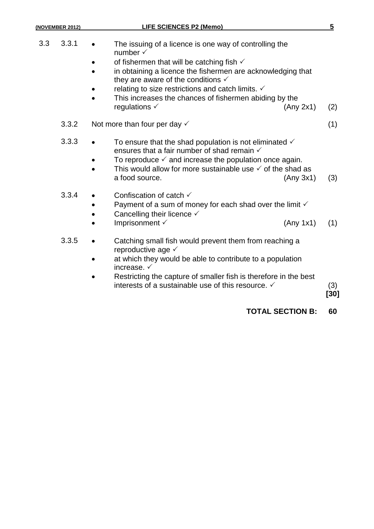### **(NOVEMBER 2012) LIFE SCIENCES P2 (Memo) 5**

| 3.3 | 3.3.1 | The issuing of a licence is one way of controlling the<br>number $\checkmark$                                                                                                                                                                                                                                         |             |
|-----|-------|-----------------------------------------------------------------------------------------------------------------------------------------------------------------------------------------------------------------------------------------------------------------------------------------------------------------------|-------------|
|     |       | of fishermen that will be catching fish $\checkmark$<br>in obtaining a licence the fishermen are acknowledging that<br>they are aware of the conditions $\checkmark$                                                                                                                                                  |             |
|     |       | relating to size restrictions and catch limits. $\checkmark$<br>This increases the chances of fishermen abiding by the<br>regulations $\checkmark$<br>(Any 2x1)                                                                                                                                                       | (2)         |
|     | 3.3.2 | Not more than four per day $\checkmark$                                                                                                                                                                                                                                                                               | (1)         |
|     | 3.3.3 | To ensure that the shad population is not eliminated $\checkmark$<br>$\bullet$<br>ensures that a fair number of shad remain $\checkmark$<br>To reproduce $\checkmark$ and increase the population once again.<br>This would allow for more sustainable use $\checkmark$ of the shad as<br>a food source.<br>(Any 3x1) | (3)         |
|     | 3.3.4 | Confiscation of catch $\checkmark$<br>Payment of a sum of money for each shad over the limit $\checkmark$<br>Cancelling their licence $\checkmark$<br>Imprisonment V<br>(Any 1x1)                                                                                                                                     | (1)         |
|     | 3.3.5 | Catching small fish would prevent them from reaching a<br>reproductive age √<br>at which they would be able to contribute to a population<br>increase. $\checkmark$<br>Restricting the capture of smaller fish is therefore in the best<br>interests of a sustainable use of this resource. ✓                         | (3)<br>[30] |
|     |       | <b>TOTAL SECTION B:</b>                                                                                                                                                                                                                                                                                               | 60          |
|     |       |                                                                                                                                                                                                                                                                                                                       |             |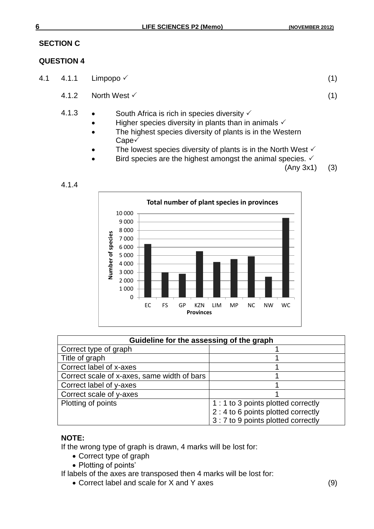#### **SECTION C**

#### **QUESTION 4**

4.1.4

- 4.1  $4.1.1$  Limpopo  $\checkmark$  (1)
	- $4.1.2$  North West  $\checkmark$  (1)
	- 4.1.3 South Africa is rich in species diversity  $\checkmark$ 
		- $\bullet$  Higher species diversity in plants than in animals  $\checkmark$
		- The highest species diversity of plants is in the Western Cape√
		- The lowest species diversity of plants is in the North West  $\checkmark$
		- $\bullet$  Bird species are the highest amongst the animal species.  $\checkmark$

(Any 3x1) (3)



| Guideline for the assessing of the graph    |                                     |  |
|---------------------------------------------|-------------------------------------|--|
| Correct type of graph                       |                                     |  |
| Title of graph                              |                                     |  |
| Correct label of x-axes                     |                                     |  |
| Correct scale of x-axes, same width of bars |                                     |  |
| Correct label of y-axes                     |                                     |  |
| Correct scale of y-axes                     |                                     |  |
| Plotting of points                          | 1 : 1 to 3 points plotted correctly |  |
|                                             | 2 : 4 to 6 points plotted correctly |  |
|                                             | 3 : 7 to 9 points plotted correctly |  |

#### **NOTE:**

If the wrong type of graph is drawn, 4 marks will be lost for:

- Correct type of graph
- Plotting of points'

If labels of the axes are transposed then 4 marks will be lost for:

Correct label and scale for X and Y axes (9)